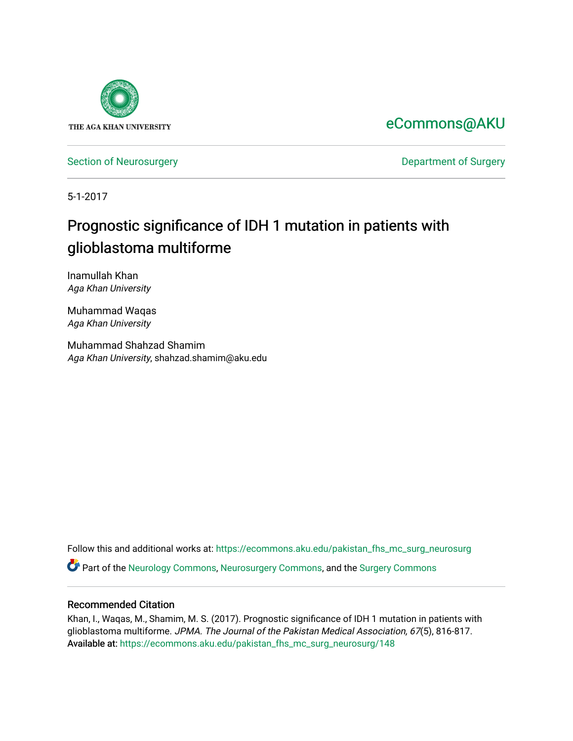

[eCommons@AKU](https://ecommons.aku.edu/) 

[Section of Neurosurgery](https://ecommons.aku.edu/pakistan_fhs_mc_surg_neurosurg) **Department of Surgery** Department of Surgery

5-1-2017

# Prognostic significance of IDH 1 mutation in patients with glioblastoma multiforme

Inamullah Khan Aga Khan University

Muhammad Waqas Aga Khan University

Muhammad Shahzad Shamim Aga Khan University, shahzad.shamim@aku.edu

Follow this and additional works at: [https://ecommons.aku.edu/pakistan\\_fhs\\_mc\\_surg\\_neurosurg](https://ecommons.aku.edu/pakistan_fhs_mc_surg_neurosurg?utm_source=ecommons.aku.edu%2Fpakistan_fhs_mc_surg_neurosurg%2F148&utm_medium=PDF&utm_campaign=PDFCoverPages)  Part of the [Neurology Commons](http://network.bepress.com/hgg/discipline/692?utm_source=ecommons.aku.edu%2Fpakistan_fhs_mc_surg_neurosurg%2F148&utm_medium=PDF&utm_campaign=PDFCoverPages), [Neurosurgery Commons](http://network.bepress.com/hgg/discipline/1428?utm_source=ecommons.aku.edu%2Fpakistan_fhs_mc_surg_neurosurg%2F148&utm_medium=PDF&utm_campaign=PDFCoverPages), and the [Surgery Commons](http://network.bepress.com/hgg/discipline/706?utm_source=ecommons.aku.edu%2Fpakistan_fhs_mc_surg_neurosurg%2F148&utm_medium=PDF&utm_campaign=PDFCoverPages) 

#### Recommended Citation

Khan, I., Waqas, M., Shamim, M. S. (2017). Prognostic significance of IDH 1 mutation in patients with glioblastoma multiforme. JPMA. The Journal of the Pakistan Medical Association, 67(5), 816-817. Available at: [https://ecommons.aku.edu/pakistan\\_fhs\\_mc\\_surg\\_neurosurg/148](https://ecommons.aku.edu/pakistan_fhs_mc_surg_neurosurg/148)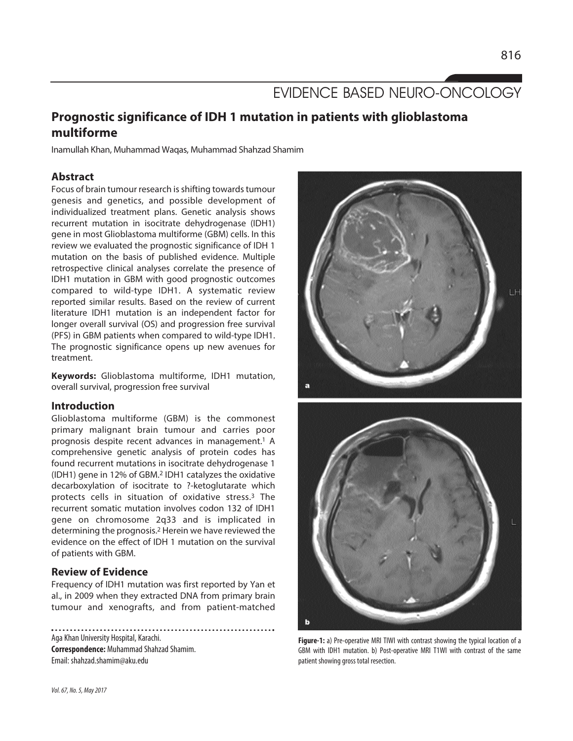## EVIDENCE BASED NEURO-ONCOLOGY

### **Prognostic significance of IDH 1 mutation in patients with glioblastoma multiforme**

Inamullah Khan, Muhammad Waqas, Muhammad Shahzad Shamim

#### **Abstract**

Focus of brain tumour research is shifting towards tumour genesis and genetics, and possible development of individualized treatment plans. Genetic analysis shows recurrent mutation in isocitrate dehydrogenase (IDH1) gene in most Glioblastoma multiforme (GBM) cells. In this review we evaluated the prognostic significance of IDH 1 mutation on the basis of published evidence. Multiple retrospective clinical analyses correlate the presence of IDH1 mutation in GBM with good prognostic outcomes compared to wild-type IDH1. A systematic review reported similar results. Based on the review of current literature IDH1 mutation is an independent factor for longer overall survival (OS) and progression free survival (PFS) in GBM patients when compared to wild-type IDH1. The prognostic significance opens up new avenues for treatment.

**Keywords:** Glioblastoma multiforme, IDH1 mutation, overall survival, progression free survival

#### **Introduction**

Glioblastoma multiforme (GBM) is the commonest primary malignant brain tumour and carries poor prognosis despite recent advances in management.<sup>1</sup> A comprehensive genetic analysis of protein codes has found recurrent mutations in isocitrate dehydrogenase 1 (IDH1) gene in 12% of GBM.<sup>2</sup> IDH1 catalyzes the oxidative decarboxylation of isocitrate to ?-ketoglutarate which protects cells in situation of oxidative stress.<sup>3</sup> The recurrent somatic mutation involves codon 132 of IDH1 gene on chromosome 2q33 and is implicated in determining the prognosis.<sup>2</sup> Herein we have reviewed the evidence on the effect of IDH 1 mutation on the survival of patients with GBM.

#### **Review of Evidence**

Frequency of IDH1 mutation was first reported by Yan et al., in 2009 when they extracted DNA from primary brain tumour and xenografts, and from patient-matched

Aga Khan University Hospital, Karachi. **Correspondence:** Muhammad Shahzad Shamim. Email: shahzad.shamim@aku.edu





**Figure-1:** a) Pre-operative MRI TIWI with contrast showing the typical location of a GBM with IDH1 mutation. b) Post-operative MRI T1WI with contrast of the same patient showing gross total resection.